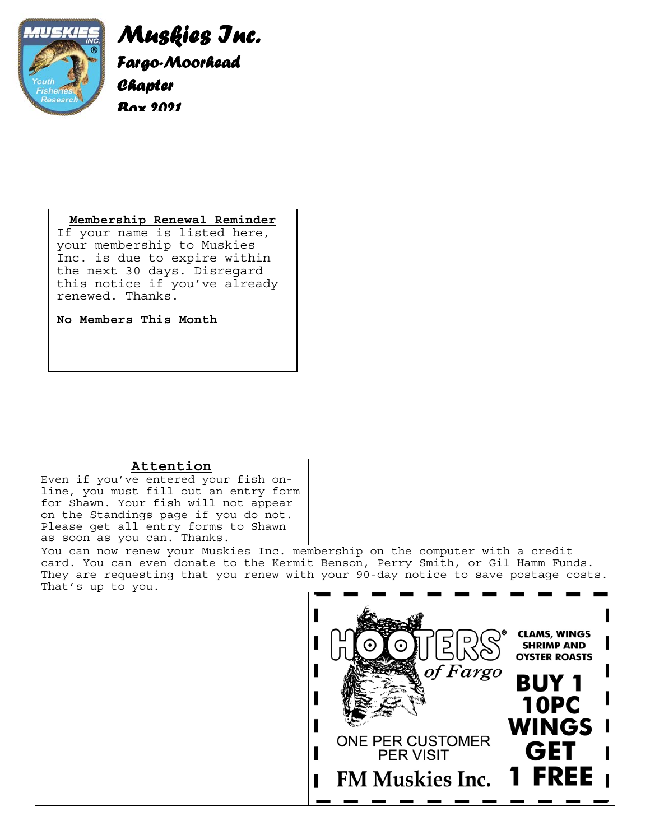

*Muskies Inc. Fargo-Moorhead Chapter Box 2021* 

### **Membership Renewal Reminder**

If your name is listed here, your membership to Muskies Inc. is due to expire within the next 30 days. Disregard this notice if you've already renewed. Thanks.

**No Members This Month**

# **Attention**

Even if you've entered your fish online, you must fill out an entry form for Shawn. Your fish will not appear on the Standings page if you do not. Please get all entry forms to Shawn as soon as you can. Thanks.

You can now renew your Muskies Inc. membership on the computer with a credit card. You can even donate to the Kermit Benson, Perry Smith, or Gil Hamm Funds. They are requesting that you renew with your 90-day notice to save postage costs. That's up to you.

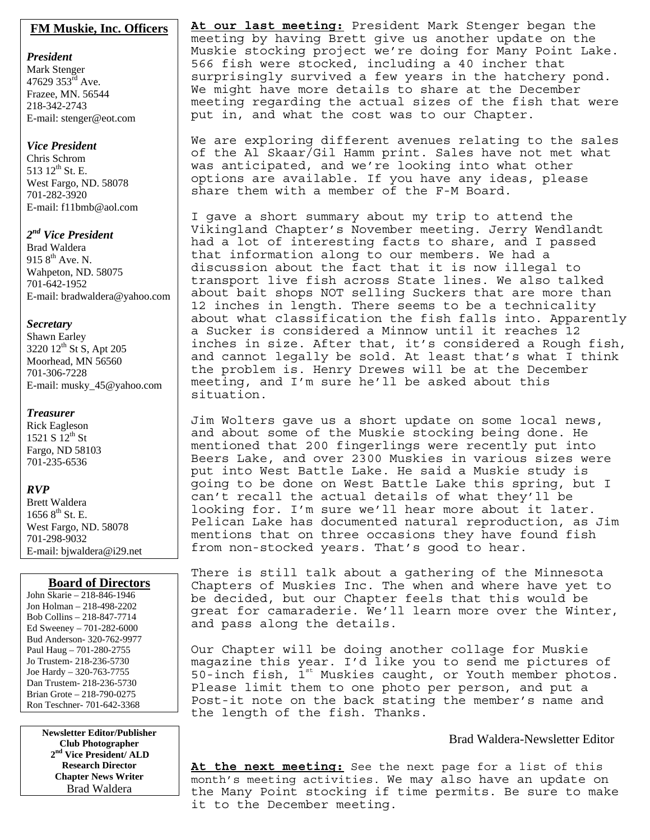#### **FM Muskie, Inc. Officers**

*President*  Mark Stenger 47629  $353^{\text{rd}}$  Ave. Frazee, MN. 56544 218-342-2743 E-mail: stenger@eot.com

#### *Vice President*

Chris Schrom 513 12<sup>th</sup> St. E. West Fargo, ND. 58078 701-282-3920 E-mail: f11bmb@aol.com

#### *2nd Vice President*

Brad Waldera 915  $8^{th}$  Ave. N. Wahpeton, ND. 58075 701-642-1952 E-mail: bradwaldera@yahoo.com

#### *Secretary*

Shawn Earley 3220  $12^{th}$  St S, Apt 205 Moorhead, MN 56560 701-306-7228 E-mail: musky\_45@yahoo.com

#### *Treasurer*

Rick Eagleson 1521 S  $12^{th}$  St Fargo, ND 58103 701-235-6536

#### *RVP*

Brett Waldera  $16568^{\text{th}}$  St. E. West Fargo, ND. 58078 701-298-9032 E-mail: bjwaldera@i29.net

#### **Board of Directors**

John Skarie – 218-846-1946 Jon Holman – 218-498-2202 Bob Collins – 218-847-7714 Ed Sweeney – 701-282-6000 Bud Anderson- 320-762-9977 Paul Haug – 701-280-2755 Jo Trustem- 218-236-5730 Joe Hardy – 320-763-7755 Dan Trustem- 218-236-5730 Brian Grote – 218-790-0275 Ron Teschner- 701-642-3368

> **Newsletter Editor/Publisher Club Photographer 2nd Vice President/ ALD Research Director Chapter News Writer** Brad Waldera

**At our last meeting:** President Mark Stenger began the meeting by having Brett give us another update on the Muskie stocking project we're doing for Many Point Lake. 566 fish were stocked, including a 40 incher that surprisingly survived a few years in the hatchery pond. We might have more details to share at the December meeting regarding the actual sizes of the fish that were put in, and what the cost was to our Chapter.

We are exploring different avenues relating to the sales of the Al Skaar/Gil Hamm print. Sales have not met what was anticipated, and we're looking into what other options are available. If you have any ideas, please share them with a member of the F-M Board.

I gave a short summary about my trip to attend the Vikingland Chapter's November meeting. Jerry Wendlandt had a lot of interesting facts to share, and I passed that information along to our members. We had a discussion about the fact that it is now illegal to transport live fish across State lines. We also talked about bait shops NOT selling Suckers that are more than 12 inches in length. There seems to be a technicality about what classification the fish falls into. Apparently a Sucker is considered a Minnow until it reaches 12 inches in size. After that, it's considered a Rough fish, and cannot legally be sold. At least that's what I think the problem is. Henry Drewes will be at the December meeting, and I'm sure he'll be asked about this situation.

Jim Wolters gave us a short update on some local news, and about some of the Muskie stocking being done. He mentioned that 200 fingerlings were recently put into Beers Lake, and over 2300 Muskies in various sizes were put into West Battle Lake. He said a Muskie study is going to be done on West Battle Lake this spring, but I can't recall the actual details of what they'll be looking for. I'm sure we'll hear more about it later. Pelican Lake has documented natural reproduction, as Jim mentions that on three occasions they have found fish from non-stocked years. That's good to hear.

There is still talk about a gathering of the Minnesota Chapters of Muskies Inc. The when and where have yet to be decided, but our Chapter feels that this would be great for camaraderie. We'll learn more over the Winter, and pass along the details.

Our Chapter will be doing another collage for Muskie magazine this year. I'd like you to send me pictures of 50-inch fish,  $1^{st}$  Muskies caught, or Youth member photos. Please limit them to one photo per person, and put a Post-it note on the back stating the member's name and the length of the fish. Thanks.

#### Brad Waldera-Newsletter Editor

**At the next meeting:** See the next page for a list of this month's meeting activities. We may also have an update on the Many Point stocking if time permits. Be sure to make it to the December meeting.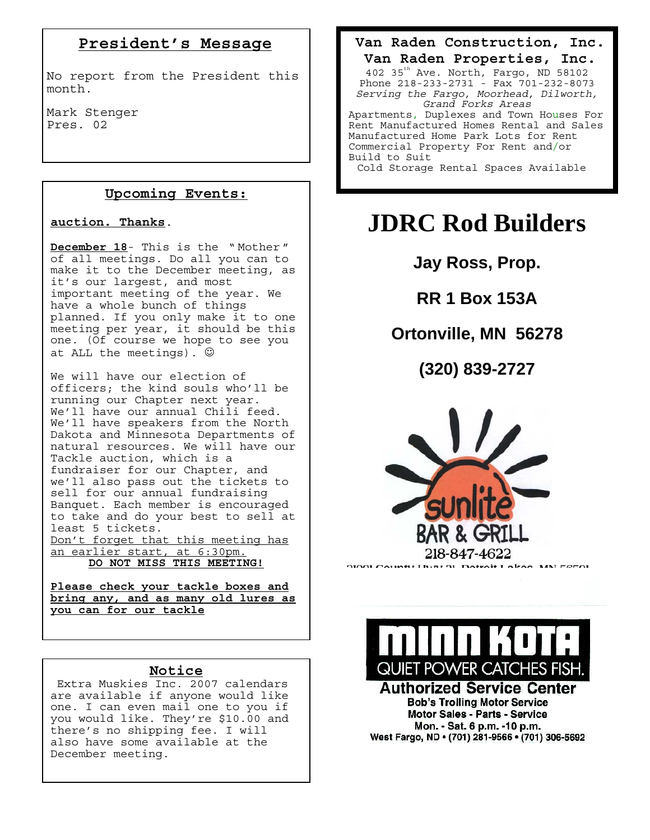# **President's Message**

No report from the President this month.

Mark Stenger Pres. 02

# **Upcoming Events:**

#### **auction. Thanks**.

**December 18**- This is the " Mother " of all meetings. Do all you can to make it to the December meeting, as it's our largest, and most important meeting of the year. We have a whole bunch of things planned. If you only make it to one meeting per year, it should be this one. (Of course we hope to see you at ALL the meetings).  $\odot$ 

We will have our election of officers; the kind souls who'll be running our Chapter next year. We'll have our annual Chili feed. We'll have speakers from the North Dakota and Minnesota Departments of natural resources. We will have our Tackle auction, which is a fundraiser for our Chapter, and we'll also pass out the tickets to sell for our annual fundraising Banquet. Each member is encouraged to take and do your best to sell at least 5 tickets. Don't forget that this meeting has an earlier start, at 6:30pm.

**DO NOT MISS THIS MEETING!**

**Please check your tackle boxes and bring any, and as many old lures as you can for our tackle**

# **Notice**

Extra Muskies Inc. 2007 calendars are available if anyone would like one. I can even mail one to you if you would like. They're \$10.00 and there's no shipping fee. I will also have some available at the December meeting.

**Van Raden Construction, Inc. Van Raden Properties, Inc.**  402 35<sup>th</sup> Ave. North, Fargo, ND 58102 Phone 218-233-2731 - Fax 701-232-8073 *Serving the Fargo, Moorhead, Dilworth, Grand Forks Areas* Apartments, Duplexes and Town Houses For Rent Manufactured Homes Rental and Sales Manufactured Home Park Lots for Rent Commercial Property For Rent and/or Build to Suit Cold Storage Rental Spaces Available

# **JDRC Rod Builders**

**Jay Ross, Prop.** 

**RR 1 Box 153A** 

# **Ortonville, MN 56278**

**(320) 839-2727** 





#### **Authorized Service Center Bob's Trolling Motor Service Motor Sales - Parts - Service** Mon. - Sat. 6 p.m. -10 p.m. West Fargo, ND · (701) 281-9566 · (701) 306-5692